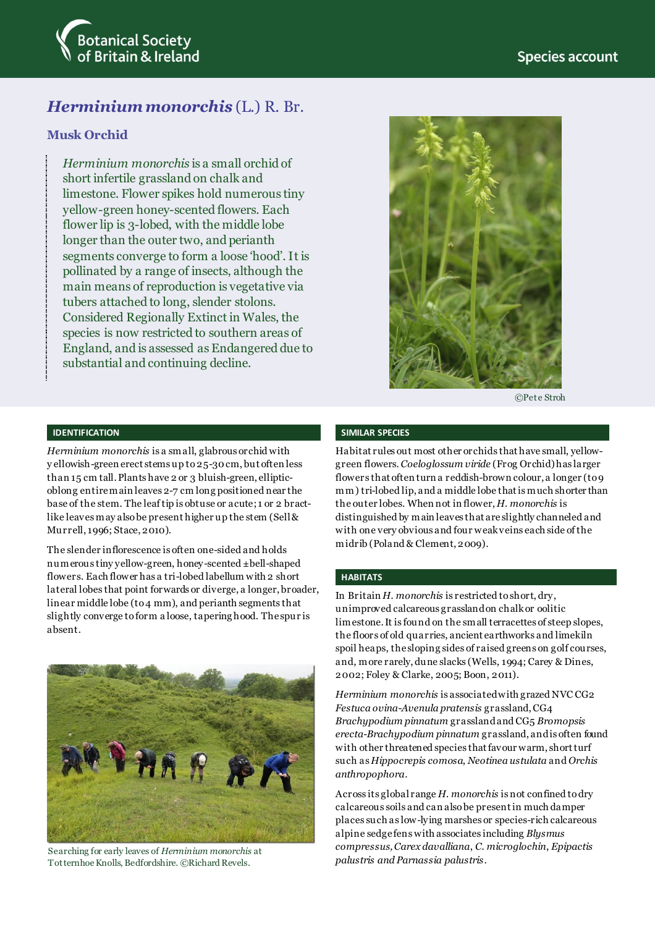

# *Herminium monorchis* (L.) R. Br.

# **Musk Orchid**

*Herminium monorchis* is a small orchid of short infertile grassland on chalk and limestone. Flower spikes hold numerous tiny yellow-green honey-scented flowers. Each flower lip is 3-lobed, with the middle lobe longer than the outer two, and perianth segments converge to form a loose 'hood'. It is pollinated by a range of insects, although the main means of reproduction is vegetative via tubers attached to long, slender stolons. Considered Regionally Extinct in Wales, the species is now restricted to southern areas of England, and is assessed as Endangered due to substantial and continuing decline.



©Pete Stroh

### **IDENTIFICATION**

*Herminium monorchis* is a small, glabrous orchid with y ellowish-green erect stems up to 25-30cm, but often less than 15 cm tall. Plants have 2 or 3 bluish-green, ellipticoblong entire main leaves 2-7 cm long positioned near the base of the stem. The leaf tip is obtuse or acute; 1 or 2 bractlike leaves may also be present higher up the stem (Sell & Murrell, 1996; Stace, 2010).

The slender inflorescence is often one-sided and holds numerous tiny yellow-green, honey-scented ±bell-shaped flowers. Each flower has a tri-lobed labellum with 2 short lateral lobes that point forwards or diverge, a longer, broader, linear middle lobe (to 4 mm), and perianth segments that slightly converge to form a loose, tapering hood. The spur is absent.



Searching for early leaves of *Herminium monorchis* at Totternhoe Knolls, Bedfordshire. ©Richard Revels.

#### **SIMILAR SPECIES**

Habitat rules out most other orchids that have small, yellowgreen flowers. *Coeloglossum viride* (Frog Orchid) has larger flowers that often turn a reddish-brown colour, a longer (to 9 mm) tri-lobed lip, and a middle lobe that is much shorter than the outer lobes. When not in flower, *H. monorchis* is distinguished by main leaves that are slightly channeled and with one very obvious and four weak veins each side of the midrib (Poland & Clement, 2009).

### **HABITATS**

In Britain *H. monorchis* is restricted to short, dry, unimproved calcareous grassland on chalk or oolitic limestone. It is found on the small terracettes of steep slopes, the floors of old quarries, ancient earthworks and limekiln spoil heaps, the sloping sides of raised greens on golf courses, and, more rarely, dune slacks (Wells, 1994; Carey & Dines, 2002; Foley & Clarke, 2005; Boon, 2011).

*Herminium monorchis* is associated with grazed NVC CG2 *Festuca ovina*-*Avenula pratensis* grassland, CG4 *Brachypodium pinnatum* grasslandand CG5 *Bromopsis erecta*-*Brachypodium pinnatum* grassland, and is often found with other threatened species that favour warm, short turf such as *Hippocrepis comosa*, *Neotinea ustulata* and *Orchis anthropophora*.

Across its global range *H. monorchis* is not confined to dry calcareous soils and can also be presentin much damper places such as low-lying marshes or species-rich calcareous alpine sedge fens with associates including *Blysmus compressus, Carex davalliana*, *C. microglochin*, *Epipactis palustris and Parnassia palustris*.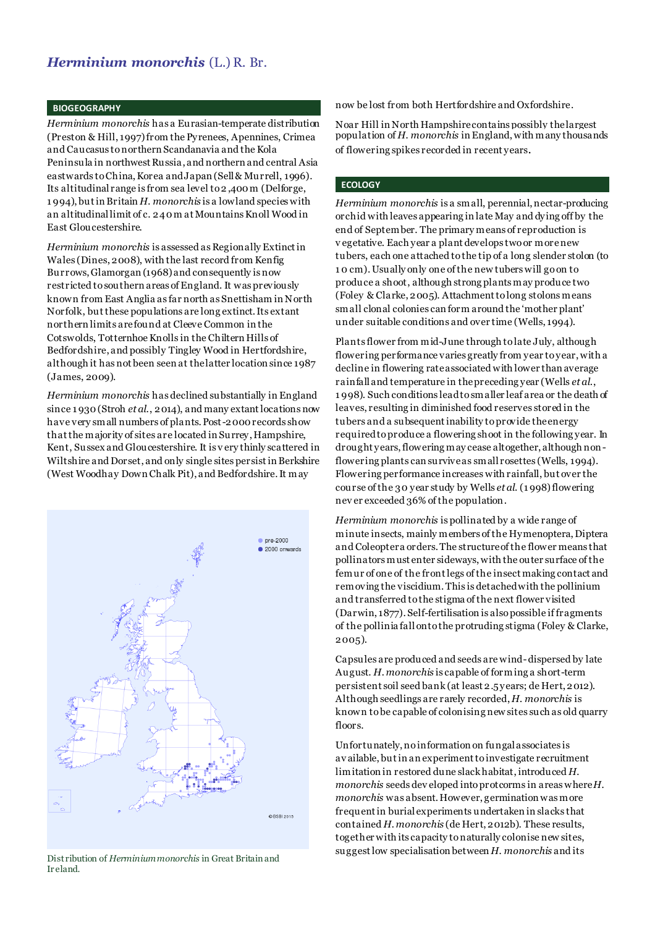### **BIOGEOGRAPHY**

*Herminium monorchis* has a Eurasian-temperate distribution (Preston & Hill, 1997) from the Pyrenees, Apennines, Crimea and Caucasus to northern Scandanavia and the Kola Peninsula in northwest Russia, and northern and central Asia eastwards to China, Korea and Japan (Sell & Murrell, 1996). Its altitudinal range is from sea level to 2 ,400 m (Delforge, 1 994), but in Britain *H. monorchis* is a lowland species with an altitudinal limit of c. 240m at Mountains Knoll Wood in East Gloucestershire.

*Herminium monorchis* is assessed as Regionally Extinct in Wales (Dines, 2008), with the last record from Kenfig Burrows, Glamorgan (1968)and consequently is now restricted to southern areas of England. It was previously known from East Anglia as far north as Snettisham in North Norfolk, but these populations are long extinct. Its extant northern limits are found at Cleeve Common in the Cotswolds, Totternhoe Knolls in the Chiltern Hills of Bedfordshire, and possibly Tingley Wood in Hertfordshire, although it has not been seen at the latter location since 1987 (James, 2009).

*Herminium monorchis* has declined substantially in England since 1 930 (Stroh *et al.*, 2014), and many extant locations now have very small numbers of plants. Post-2000 records show that the majority of sites are located in Surrey, Hampshire, Kent, Sussex and Gloucestershire. It is v ery thinly scattered in Wiltshire and Dorset, and only single sites persistin Berkshire (West Woodhay Down Chalk Pit), and Bedfordshire. It may



Distribution of *Herminium monorchis* in Great Britain and Ir eland.

now be lost from both Hertfordshire and Oxfordshire.

Noar Hill in North Hampshire contains possibly the largest population of *H. monorchis* in England, with many thousands of flowering spikes recorded in recent years.

### **ECOLOGY**

*Herminium monorchis* is a small, perennial, nectar-producing orchid with leaves appearing in late May and dying off by the end of September. The primary means of reproduction is v egetative. Each year a plant develops two or more new tubers, each one attached to the tip of a long slender stolon (to 1 0 cm).Usually only one of the new tubers will go on to produce a shoot, although strong plants may produce two (Foley & Clarke, 2005). Attachment to long stolons means small clonal colonies can form around the 'mother plant' under suitable conditions and over time (Wells, 1994).

Plants flower from mid-June through to late July, although flowering performance varies greatly from year to year, with a decline in flowering rate associated with lower than average rainfall and temperature in the preceding year (Wells *et al*., 1 998). Such conditions lead to smaller leaf area or the death of leaves, resulting in diminished food reserves stored in the tubers and a subsequent inability to provide the energy required to produce a flowering shoot in the following year. In drought years, flowering may cease altogether, although nonflowering plants can survive as small rosettes (Wells, 1994). Flowering performance increases with rainfall, but over the course of the 30 year study by Wells *et al*. (1 998) flowering nev er exceeded 36% of the population.

*Herminium monorchis* is pollinated by a wide range of minute insects, mainly members of the Hymenoptera, Diptera and Coleoptera orders. The structure of the flower means that pollinators must enter sideways, with the outer surface of the femur of one of the front legs of the insect making contact and removing the viscidium. This is detached with the pollinium and transferred to the stigma of the next flower visited (Darwin, 1877). Self-fertilisation is also possible if fragments of the pollinia fall onto the protruding stigma (Foley & Clarke, 2005).

Capsules are produced and seeds are wind-dispersed by late August. *H. monorchis* is capable of forming a short-term persistent soil seed bank (at least 2.5 years; de Hert, 2012). Although seedlings are rarely recorded, *H. monorchis* is known to be capable of colonising new sites such as old quarry floors.

Unfortunately, no information on fungal associates is av ailable, but in an experiment to investigate recruitment limitation in restored dune slack habitat, introduced *H. monorchis* seeds dev eloped into protcorms in areas where *H. monorchis* was absent. However, germination was more frequent in burial experiments undertaken in slacks that contained *H. monorchis* (de Hert, 2012b). These results, together with its capacity to naturally colonise new sites, suggest low specialisation between *H. monorchis* and its